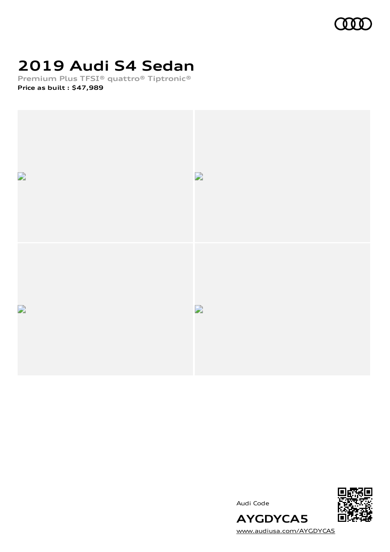

# **2019 Audi S4 Sedan**

**Premium Plus TFSI® quattro® Tiptronic® Price as built [:](#page-8-0) \$47,989**







[www.audiusa.com/AYGDYCA5](https://www.audiusa.com/AYGDYCA5)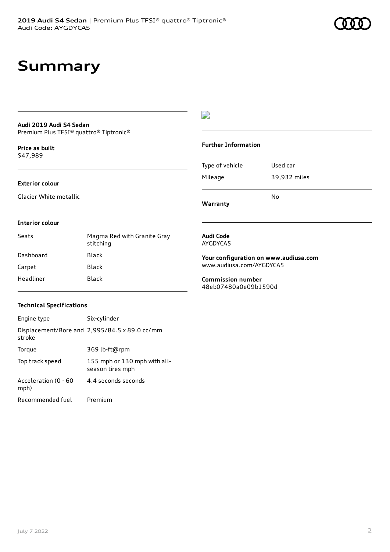### **Summary**

### **Audi 2019 Audi S4 Sedan**

Premium Plus TFSI® quattro® Tiptronic®

**Price as buil[t](#page-8-0)** \$47,989

#### **Exterior colour**

Glacier White metallic

#### $\overline{\phantom{a}}$

#### **Further Information**

|                 | N٥           |
|-----------------|--------------|
| Mileage         | 39,932 miles |
| Type of vehicle | Used car     |

**Warranty**

#### **Interior colour**

| Seats     | Magma Red with Granite Gray<br>stitching |
|-----------|------------------------------------------|
| Dashboard | Black                                    |
| Carpet    | Black                                    |
| Headliner | Black                                    |

#### **Audi Code** AYGDYCA5

**Your configuration on www.audiusa.com** [www.audiusa.com/AYGDYCA5](https://www.audiusa.com/AYGDYCA5)

**Commission number** 48eb07480a0e09b1590d

#### **Technical Specifications**

| Engine type                  | Six-cylinder                                     |
|------------------------------|--------------------------------------------------|
| stroke                       | Displacement/Bore and 2,995/84.5 x 89.0 cc/mm    |
| Torque                       | 369 lb-ft@rpm                                    |
| Top track speed              | 155 mph or 130 mph with all-<br>season tires mph |
| Acceleration (0 - 60<br>mph) | 4.4 seconds seconds                              |
| Recommended fuel             | Premium                                          |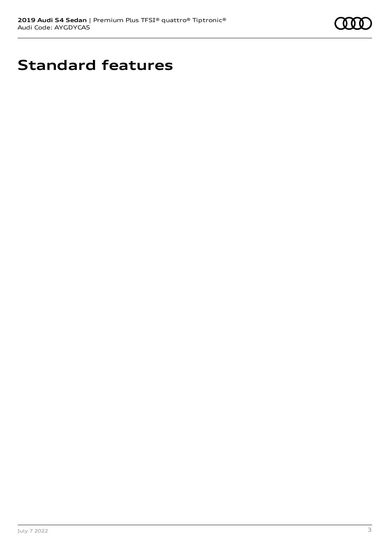

# **Standard features**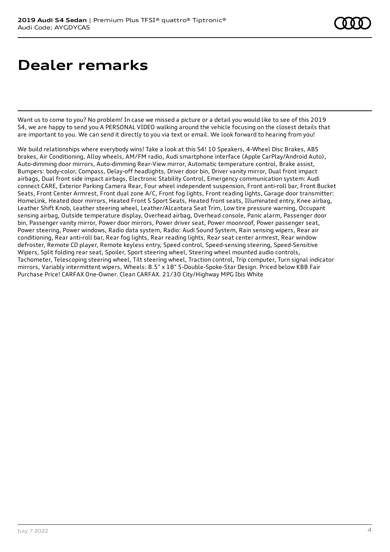### **Dealer remarks**

Want us to come to you? No problem! In case we missed a picture or a detail you would like to see of this 2019 S4, we are happy to send you A PERSONAL VIDEO walking around the vehicle focusing on the closest details that are important to you. We can send it directly to you via text or email. We look forward to hearing from you!

We build relationships where everybody wins! Take a look at this S4! 10 Speakers, 4-Wheel Disc Brakes, ABS brakes, Air Conditioning, Alloy wheels, AM/FM radio, Audi smartphone interface (Apple CarPlay/Android Auto), Auto-dimming door mirrors, Auto-dimming Rear-View mirror, Automatic temperature control, Brake assist, Bumpers: body-color, Compass, Delay-off headlights, Driver door bin, Driver vanity mirror, Dual front impact airbags, Dual front side impact airbags, Electronic Stability Control, Emergency communication system: Audi connect CARE, Exterior Parking Camera Rear, Four wheel independent suspension, Front anti-roll bar, Front Bucket Seats, Front Center Armrest, Front dual zone A/C, Front fog lights, Front reading lights, Garage door transmitter: HomeLink, Heated door mirrors, Heated Front S Sport Seats, Heated front seats, Illuminated entry, Knee airbag, Leather Shift Knob, Leather steering wheel, Leather/Alcantara Seat Trim, Low tire pressure warning, Occupant sensing airbag, Outside temperature display, Overhead airbag, Overhead console, Panic alarm, Passenger door bin, Passenger vanity mirror, Power door mirrors, Power driver seat, Power moonroof, Power passenger seat, Power steering, Power windows, Radio data system, Radio: Audi Sound System, Rain sensing wipers, Rear air conditioning, Rear anti-roll bar, Rear fog lights, Rear reading lights, Rear seat center armrest, Rear window defroster, Remote CD player, Remote keyless entry, Speed control, Speed-sensing steering, Speed-Sensitive Wipers, Split folding rear seat, Spoiler, Sport steering wheel, Steering wheel mounted audio controls, Tachometer, Telescoping steering wheel, Tilt steering wheel, Traction control, Trip computer, Turn signal indicator mirrors, Variably intermittent wipers, Wheels: 8.5" x 18" 5-Double-Spoke-Star Design. Priced below KBB Fair Purchase Price! CARFAX One-Owner. Clean CARFAX. 21/30 City/Highway MPG Ibis White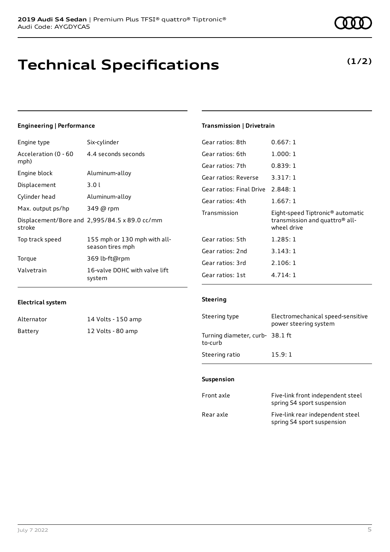# **Technical Specifications**

### Engine type Six-cylinder

**Engineering | Performance**

| Acceleration (0 - 60<br>mph) | 4.4 seconds seconds                              |
|------------------------------|--------------------------------------------------|
| Engine block                 | Aluminum-alloy                                   |
| Displacement                 | 3.01                                             |
| Cylinder head                | Aluminum-alloy                                   |
| Max. output ps/hp            | 349 @ rpm                                        |
| stroke                       | Displacement/Bore and 2,995/84.5 x 89.0 cc/mm    |
| Top track speed              | 155 mph or 130 mph with all-<br>season tires mph |
| Torque                       | 369 lb-ft@rpm                                    |
| Valvetrain                   | 16-valve DOHC with valve lift<br>system          |

#### **Transmission | Drivetrain**

| Gear ratios: 8th                  | 0.667:1                                                                                                   |
|-----------------------------------|-----------------------------------------------------------------------------------------------------------|
| Gear ratios: 6th                  | 1.000:1                                                                                                   |
| Gear ratios: 7th                  | 0.839:1                                                                                                   |
| Gear ratios: Reverse              | 3.317:1                                                                                                   |
| Gear ratios: Final Drive 2.848: 1 |                                                                                                           |
| Gear ratios: 4th                  | 1.667:1                                                                                                   |
|                                   |                                                                                                           |
| Transmission                      | Eight-speed Tiptronic <sup>®</sup> automatic<br>transmission and quattro <sup>®</sup> all-<br>wheel drive |
| Gear ratios: 5th                  | 1.285:1                                                                                                   |
| Gear ratios: 2nd                  | 3.143:1                                                                                                   |
| Gear ratios: 3rd                  | 2.106:1                                                                                                   |

#### **Electrical system**

| Alternator | 14 Volts - 150 amp |
|------------|--------------------|
| Battery    | 12 Volts - 80 amp  |

#### **Steering**

| Steering type                              | Electromechanical speed-sensitive<br>power steering system |
|--------------------------------------------|------------------------------------------------------------|
| Turning diameter, curb- 38.1 ft<br>to-curb |                                                            |
| Steering ratio                             | 15.9:1                                                     |

#### **Suspension**

| Front axle | Five-link front independent steel<br>spring S4 sport suspension |
|------------|-----------------------------------------------------------------|
| Rear axle  | Five-link rear independent steel<br>spring S4 sport suspension  |

### **(1/2)**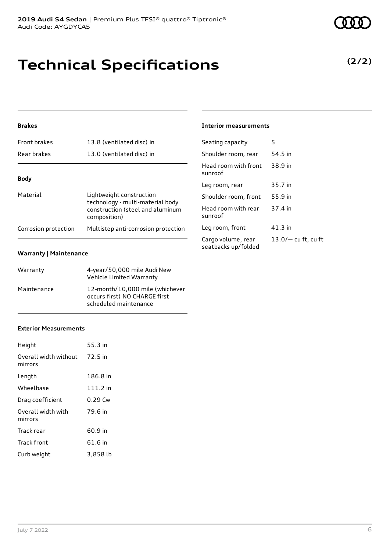### **Technical Specifications**

#### **Brakes**

| <b>Front brakes</b>  | 13.8 (ventilated disc) in                                                                                        |
|----------------------|------------------------------------------------------------------------------------------------------------------|
| Rear brakes          | 13.0 (ventilated disc) in                                                                                        |
|                      |                                                                                                                  |
| <b>Body</b>          |                                                                                                                  |
| Material             | Lightweight construction<br>technology - multi-material body<br>construction (steel and aluminum<br>composition) |
| Corrosion protection | Multistep anti-corrosion protection                                                                              |

#### **Warranty | Maintenance**

| Warranty    | 4-year/50,000 mile Audi New<br>Vehicle Limited Warranty                                   |
|-------------|-------------------------------------------------------------------------------------------|
| Maintenance | 12-month/10.000 mile (whichever<br>occurs first) NO CHARGE first<br>scheduled maintenance |

#### **Exterior Measurements**

| Height                           | 55.3 in    |
|----------------------------------|------------|
| Overall width without<br>mirrors | 72.5 in    |
| Length                           | 186.8 in   |
| Wheelbase                        | $111.2$ in |
| Drag coefficient                 | $0.29$ Cw  |
| Overall width with<br>mirrors    | 79.6 in    |
| Track rear                       | 60.9 in    |
| Track front                      | 61.6 in    |
| Curb weight                      | 3,858 lb   |

#### **Interior measurements**

| Seating capacity                          | 5                     |
|-------------------------------------------|-----------------------|
| Shoulder room, rear                       | 54.5 in               |
| Head room with front<br>sunroof           | 38.9 in               |
| Leg room, rear                            | 35.7 in               |
| Shoulder room, front                      | 55.9 in               |
| Head room with rear<br>sunroof            | 37.4 in               |
| Leg room, front                           | 41.3 in               |
| Cargo volume, rear<br>seatbacks up/folded | $13.0/-$ cu ft, cu ft |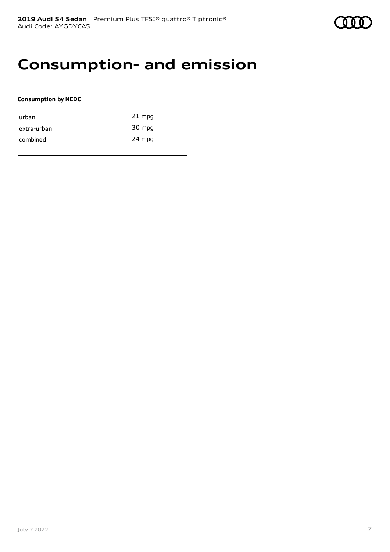### **Consumption- and emission**

#### **Consumption by NEDC**

| urban       | $21$ mpg |
|-------------|----------|
| extra-urban | 30 mpg   |
| combined    | 24 mpg   |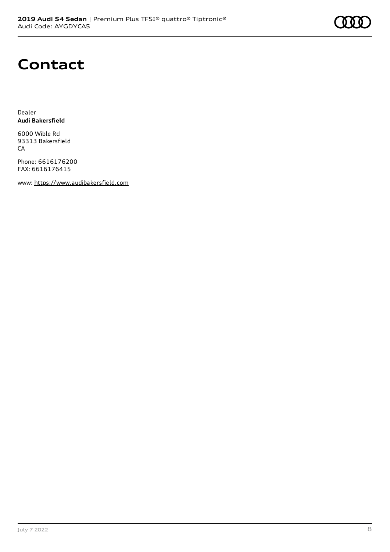# **Contact**

Dealer **Audi Bakersfield**

6000 Wible Rd 93313 Bakersfield CA

Phone: 6616176200 FAX: 6616176415

www: [https://www.audibakersfield.com](https://www.audibakersfield.com/)